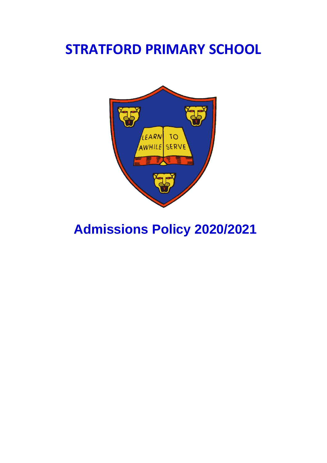## **STRATFORD PRIMARY SCHOOL**



# **Admissions Policy 2020/2021**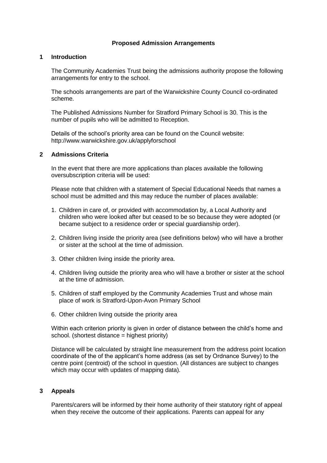## **Proposed Admission Arrangements**

## **1 Introduction**

The Community Academies Trust being the admissions authority propose the following arrangements for entry to the school.

The schools arrangements are part of the Warwickshire County Council co-ordinated scheme.

The Published Admissions Number for Stratford Primary School is 30. This is the number of pupils who will be admitted to Reception.

Details of the school's priority area can be found on the Council website: http://www.warwickshire.gov.uk/applyforschool

## **2 Admissions Criteria**

In the event that there are more applications than places available the following oversubscription criteria will be used:

Please note that children with a statement of Special Educational Needs that names a school must be admitted and this may reduce the number of places available:

- 1. Children in care of, or provided with accommodation by, a Local Authority and children who were looked after but ceased to be so because they were adopted (or became subject to a residence order or special guardianship order).
- 2. Children living inside the priority area (see definitions below) who will have a brother or sister at the school at the time of admission.
- 3. Other children living inside the priority area.
- 4. Children living outside the priority area who will have a brother or sister at the school at the time of admission.
- 5. Children of staff employed by the Community Academies Trust and whose main place of work is Stratford-Upon-Avon Primary School
- 6. Other children living outside the priority area

Within each criterion priority is given in order of distance between the child's home and school. (shortest distance = highest priority)

Distance will be calculated by straight line measurement from the address point location coordinate of the of the applicant's home address (as set by Ordnance Survey) to the centre point (centroid) of the school in question. (All distances are subject to changes which may occur with updates of mapping data).

## **3 Appeals**

Parents/carers will be informed by their home authority of their statutory right of appeal when they receive the outcome of their applications. Parents can appeal for any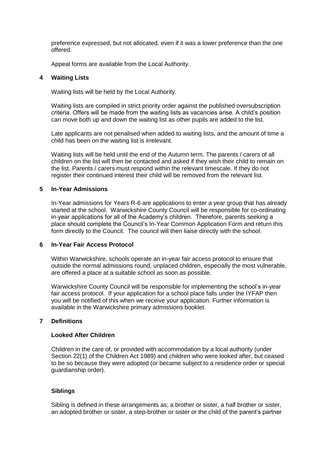preference expressed, but not allocated, even if it was a lower preference than the one offered.

Appeal forms are available from the Local Authority.

## **4 Waiting Lists**

Waiting lists will be held by the Local Authority.

Waiting lists are compiled in strict priority order against the published oversubscription criteria. Offers will be made from the waiting lists as vacancies arise. A child's position can move both up and down the waiting list as other pupils are added to the list.

Late applicants are not penalised when added to waiting lists, and the amount of time a child has been on the waiting list is irrelevant.

Waiting lists will be held until the end of the Autumn term. The parents / carers of all children on the list will then be contacted and asked if they wish their child to remain on the list. Parents / carers must respond within the relevant timescale. If they do not register their continued interest their child will be removed from the relevant list.

## **5 In-Year Admissions**

In-Year admissions for Years R-6 are applications to enter a year group that has already started at the school. Warwickshire County Council will be responsible for co-ordinating in-year applications for all of the Academy's children. Therefore, parents seeking a place should complete the Council's In-Year Common Application Form and return this form directly to the Council. The council will then liaise directly with the school.

## **6 In-Year Fair Access Protocol**

Within Warwickshire, schools operate an in-year fair access protocol to ensure that outside the normal admissions round, unplaced children, especially the most vulnerable, are offered a place at a suitable school as soon as possible.

Warwickshire County Council will be responsible for implementing the school's in-year fair access protocol. If your application for a school place falls under the IYFAP then you will be notified of this when we receive your application. Further information is available in the Warwickshire primary admissions booklet.

#### **7 Definitions**

#### **Looked After Children**

Children in the care of, or provided with accommodation by a local authority (under Section 22(1) of the Children Act 1989) and children who were looked after, but ceased to be so because they were adopted (or became subject to a residence order or special guardianship order).

#### **Siblings**

Sibling is defined in these arrangements as; a brother or sister, a half brother or sister, an adopted brother or sister, a step-brother or sister or the child of the parent's partner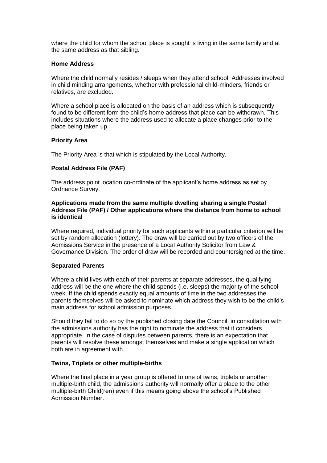where the child for whom the school place is sought is living in the same family and at the same address as that sibling.

## **Home Address**

Where the child normally resides / sleeps when they attend school. Addresses involved in child minding arrangements, whether with professional child-minders, friends or relatives, are excluded.

Where a school place is allocated on the basis of an address which is subsequently found to be different form the child's home address that place can be withdrawn. This includes situations where the address used to allocate a place changes prior to the place being taken up.

## **Priority Area**

The Priority Area is that which is stipulated by the Local Authority.

## **Postal Address File (PAF)**

The address point location co-ordinate of the applicant's home address as set by Ordnance Survey.

#### **Applications made from the same multiple dwelling sharing a single Postal Address File (PAF) / Other applications where the distance from home to school is identical**

Where required, individual priority for such applicants within a particular criterion will be set by random allocation (lottery). The draw will be carried out by two officers of the Admissions Service in the presence of a Local Authority Solicitor from Law & Governance Division. The order of draw will be recorded and countersigned at the time.

## **Separated Parents**

Where a child lives with each of their parents at separate addresses, the qualifying address will be the one where the child spends (i.e. sleeps) the majority of the school week. If the child spends exactly equal amounts of time in the two addresses the parents themselves will be asked to nominate which address they wish to be the child's main address for school admission purposes.

Should they fail to do so by the published closing date the Council, in consultation with the admissions authority has the right to nominate the address that it considers appropriate. In the case of disputes between parents, there is an expectation that parents will resolve these amongst themselves and make a single application which both are in agreement with.

## **Twins, Triplets or other multiple-births**

Where the final place in a year group is offered to one of twins, triplets or another multiple-birth child, the admissions authority will normally offer a place to the other multiple-birth Child(ren) even if this means going above the school's Published Admission Number.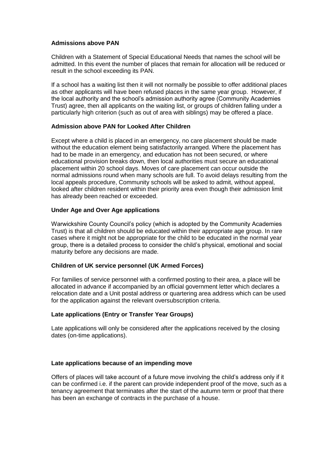## **Admissions above PAN**

Children with a Statement of Special Educational Needs that names the school will be admitted. In this event the number of places that remain for allocation will be reduced or result in the school exceeding its PAN.

If a school has a waiting list then it will not normally be possible to offer additional places as other applicants will have been refused places in the same year group. However, if the local authority and the school's admission authority agree (Community Academies Trust) agree, then all applicants on the waiting list, or groups of children falling under a particularly high criterion (such as out of area with siblings) may be offered a place.

## **Admission above PAN for Looked After Children**

Except where a child is placed in an emergency, no care placement should be made without the education element being satisfactorily arranged. Where the placement has had to be made in an emergency, and education has not been secured, or where educational provision breaks down, then local authorities must secure an educational placement within 20 school days. Moves of care placement can occur outside the normal admissions round when many schools are full. To avoid delays resulting from the local appeals procedure, Community schools will be asked to admit, without appeal, looked after children resident within their priority area even though their admission limit has already been reached or exceeded.

## **Under Age and Over Age applications**

Warwickshire County Council's policy (which is adopted by the Community Academies Trust) is that all children should be educated within their appropriate age group. In rare cases where it might not be appropriate for the child to be educated in the normal year group, there is a detailed process to consider the child's physical, emotional and social maturity before any decisions are made.

## **Children of UK service personnel (UK Armed Forces)**

For families of service personnel with a confirmed posting to their area, a place will be allocated in advance if accompanied by an official government letter which declares a relocation date and a Unit postal address or quartering area address which can be used for the application against the relevant oversubscription criteria.

## **Late applications (Entry or Transfer Year Groups)**

Late applications will only be considered after the applications received by the closing dates (on-time applications).

## **Late applications because of an impending move**

Offers of places will take account of a future move involving the child's address only if it can be confirmed i.e. if the parent can provide independent proof of the move, such as a tenancy agreement that terminates after the start of the autumn term or proof that there has been an exchange of contracts in the purchase of a house.